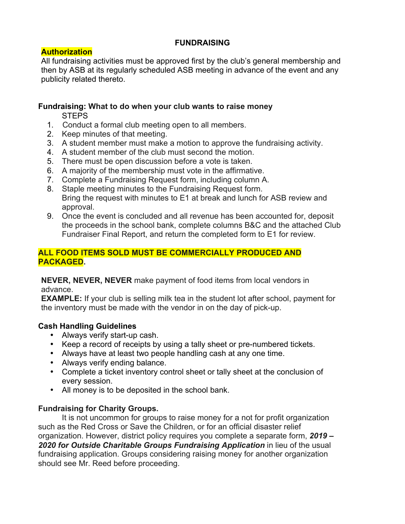## **FUNDRAISING**

# **Authorization**

All fundraising activities must be approved first by the club's general membership and then by ASB at its regularly scheduled ASB meeting in advance of the event and any publicity related thereto.

### **Fundraising: What to do when your club wants to raise money**

**STEPS** 

- 1. Conduct a formal club meeting open to all members.
- 2. Keep minutes of that meeting.
- 3. A student member must make a motion to approve the fundraising activity.
- 4. A student member of the club must second the motion.
- 5. There must be open discussion before a vote is taken.
- 6. A majority of the membership must vote in the affirmative.
- 7. Complete a Fundraising Request form, including column A.
- 8. Staple meeting minutes to the Fundraising Request form. Bring the request with minutes to E1 at break and lunch for ASB review and approval.
- 9. Once the event is concluded and all revenue has been accounted for, deposit the proceeds in the school bank, complete columns B&C and the attached Club Fundraiser Final Report, and return the completed form to E1 for review.

#### **ALL FOOD ITEMS SOLD MUST BE COMMERCIALLY PRODUCED AND PACKAGED.**

**NEVER, NEVER, NEVER** make payment of food items from local vendors in advance.

**EXAMPLE:** If your club is selling milk tea in the student lot after school, payment for the inventory must be made with the vendor in on the day of pick-up.

# **Cash Handling Guidelines**

- Always verify start-up cash.
- Keep a record of receipts by using a tally sheet or pre-numbered tickets.
- Always have at least two people handling cash at any one time.
- Always verify ending balance.
- Complete a ticket inventory control sheet or tally sheet at the conclusion of every session.
- All money is to be deposited in the school bank.

# **Fundraising for Charity Groups.**

It is not uncommon for groups to raise money for a not for profit organization such as the Red Cross or Save the Children, or for an official disaster relief organization. However, district policy requires you complete a separate form, *2019 – 2020 for Outside Charitable Groups Fundraising Application* in lieu of the usual fundraising application. Groups considering raising money for another organization should see Mr. Reed before proceeding.